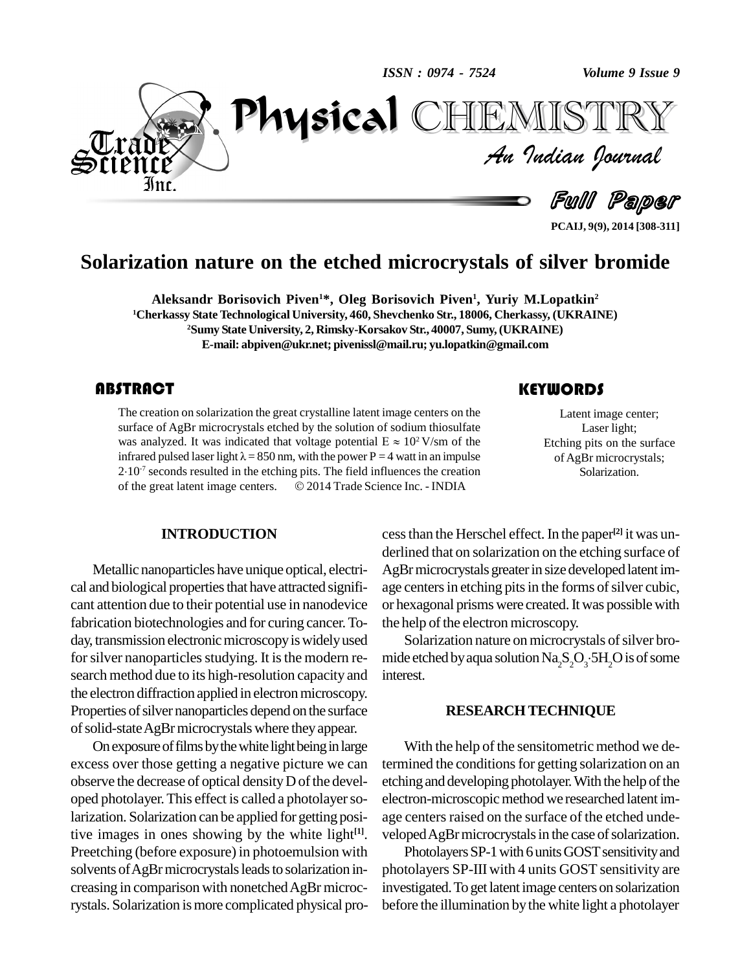*ISSN : 0974 - 7524*

*Volume 9 Issue 9*



**PCAIJ, 9(9), 2014 [308-311]**

### **Solarization nature on the etched microcrystals of silver bromide**

**Aleksandr Borisovich Piven <sup>1</sup>\*, Oleg Borisovich Piven 1 , Yuriy M.Lopatkin 2 <sup>1</sup>Cherkassy State Technological University, 460, Shevchenko Str.,18006, Cherkassy, (UKRAINE) <sup>2</sup>Sumy State University, 2, Rimsky-Korsakov Str.,40007, Sumy,(UKRAINE) E-mail: [abpiven@ukr.net;](mailto:abpiven@ukr.net;) [pivenissl@mail.ru;](mailto:pivenissl@mail.ru;) [yu.lopatkin@gmail.com](mailto:yu.lopatkin@gmail.com)**

### **ABSTRACT**

The creation on solarization the great crystalline latent image centers on the<br>surface of AgBr microcrystals etched by the solution of sodium thiosulfate<br>was analyzed. It was indicated that voltage potential  $E \approx 10^2$  V/ The creation on solarization the great crystalline latent image centers on the surface of AgBr microcrystals etched by the solution of sodium thiosulfate was analyzed. It was indicated that voltage potential  $E \approx 10^2$  V/ surface of AgBr microcrystals etched by the solution of sodium thiosulfate  $2$  V/sm of the surface of AgBr microcrystals etched by the solution of sodium thiosulfate was analyzed. It was indicated that voltage potential  $E \approx 10^2$  V/sm of the infrared pulsed laser light  $\lambda = 850$  nm, with the power P = 4 watt i was analyzed. It was indicated that voltage potential  $E \approx 10^2$  V/sm of the infrared pulsed laser light  $\lambda = 850$  nm, with the power P = 4 watt in an impulse 2.10<sup>-7</sup> seconds resulted in the etching pits. The field influ infrared pulsed laser light  $\lambda = 850$  nm, with the power P = 4 watt in an impulse 2.10<sup>-7</sup> seconds resulted in the etching pits. The field influences the creation of the great latent image centers.  $\odot$  2014 Trade Scienc

Latent image center; Laser light; Etching pits on the surface of AgBr microcrystals; Solarization.

#### **INTRODUCTION**

Metallic nanoparticles have unique optical, electri cal and biological properties that have attracted significant attention due to their potential use in nanodevice fabrication biotechnologies and for curing cancer.To day, transmission electronic microscopy is widely used for silver nanoparticles studying. It is the modern research method due to its high-resolution capacity and the electron diffraction applied in electron microscopy. Properties of silver nanoparticles depend on the surface of solid-state AgBr microcrystals where they appear.

On exposure of films by the white light being in large excess over those getting a negative picture we can observe the decrease of optical density D of the developed photolayer.This effect is called a photolayersolarization. Solarization can be applied for getting positive images in ones showing by the white light **[1]**. Preetching (before exposure) in photoemulsion with solvents of AgBr microcrystals leads to solarization in-<br>creasing in comparison with nonetched AgBr microcrystals. Solarization is more complicated physical pro-

cessthan the Herschel effect. In the paper **[2]** it was un derlined that on solarization on the etching surface of AgBr microcrystals greater in size developed latent image centers in etching pits in the forms of silver cubic, or hexagonal prisms were created.It was possiblewith the help of the electron microscopy.

Solarization nature on microcrystals of silver bromide etched by aqua solution  $\operatorname{Na_2S_2O_3\cdot 5H_2O}$  is of some interest.

#### **RESEARCH TECHNIQUE**

With the help of the sensitometric method we determined the conditions for getting solarization on an etching and developing photolayer. With the help of the electron-microscopic method we researched latent image centers raised on the surface of the etched undeveloped AgBr microcrystals in the case of solarization.

Photolayers SP-1 with 6 units GOST sensitivity and photolayers SP-III with 4 units GOST sensitivity are investigated.To get latent image centers on solarization before the illumination by the white light a photolayer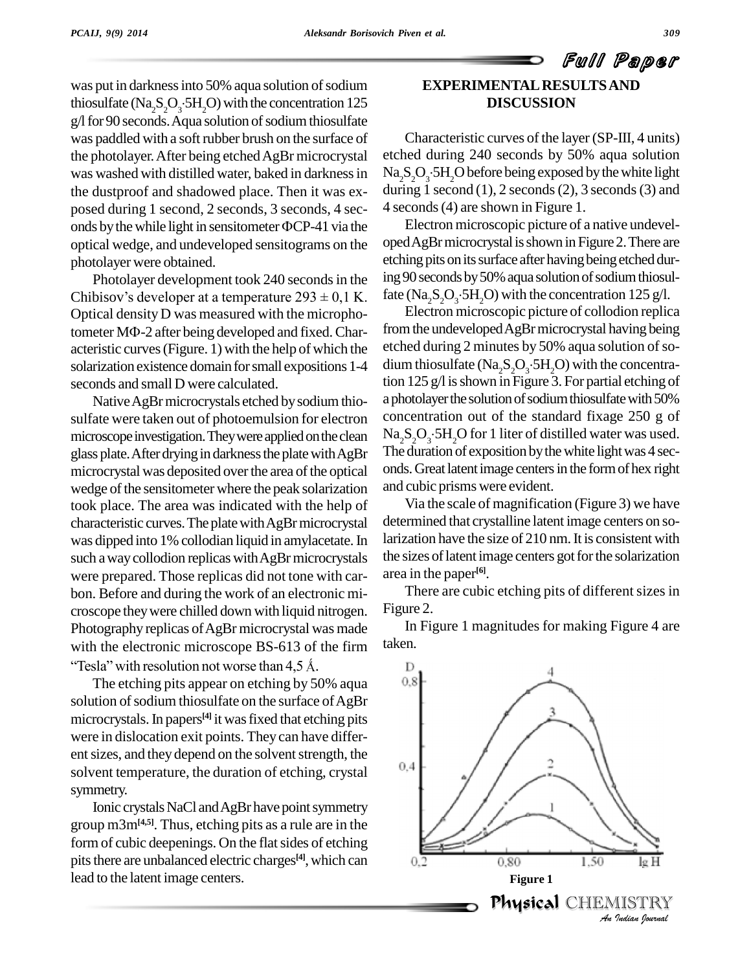was put in darkness into 50% aqua solution of sodium thiosulfate ( $\text{Na}_2\text{S}_2\text{O}_3$ :5H<sub>2</sub>O) with the concentration 125  $g/l$  for 90 seconds. Aqua solution of sodium thiosulfate was paddled with a soft rubber brush on the surface of the photolayer. After being etched AgBr microcrystal was washed with distilled water, baked in darknessin the dustproof and shadowed place. Then it was ex posed during 1 second, 2 seconds, 3 seconds, 4 sec onds by the while light in sensitometer  $\Phi CP-41$  via the optical wedge, and undeveloped sensitograms on the photolayer were obtained.

Ï

Photolayer development took 240 seconds in the etch<br>
Photolayer development took 240 seconds in the ing!<br>
Chibisov's developer at a temperature 293 ± 0,1 K. fate Optical densityD was measured with the micropho-Chibisov's developer at a temperature  $293 \pm 0.1$  K. fate<br>Optical density D was measured with the micropho-<br>tometer M $\Phi$ -2 after being developed and fixed. Characteristic curves(Figure. 1) with the help of which the solarization existence domain for small expositions 1-4 seconds and small D were calculated.

Native AgBr microcrystals etched by sodium thiosulfate were taken out of photoemulsion for electron microscope investigation. They were applied on the clean glass plate. After drying in darkness the plate with AgBr microcrystal was deposited over the area of the optical wedge of the sensitometer where the peak solarization took place. The area was indicated with the help of characteristic curves. The plate with AgBr microcrystal was dipped into 1% collodian liquid in amylacetate.In such a way collodion replicas with AgBr microcrystals were prepared. Those replicas did not tone with car bon. Before and during the work of an electronic mi croscope theywere chilled down with liquid nitrogen. Photography replicas of AgBr microcrystal was made limit with the electronic microscope BS-613 of the firm taken. aphy replicas of AgBr microcrystal was macentum electronic microscope BS-613 of the firm<br>with resolution not worse than 4,5 Å.

The etching pits appear on etching by 50% aqua  $0.8$ solution of sodium thiosulfate on the surface of AgBr microcrystals.In papers **[4]** it wasfixed that etching pits were in dislocation exit points. They can have differ ent sizes, and they depend on the solvent strength, the  $\frac{0.4}{0.4}$ solvent temperature, the duration of etching, crystal symmetry.

Ionic crystals NaCl and AgBr have point symmetry group m3m**[4,5]**. Thus, etching pits as a rule are in the form of cubic deepenings. On the flat sides of etching pits there are unbalanced electric charges<sup>[4]</sup>, which can  $\qquad \qquad 0,$ lead to the latent image centers.

## Full Paper **EXPERIMENTALRESULTSAND DISCUSSION**

Characteristic curves of the layer (SP-III, 4 units) etched during 240 seconds by 50% aqua solution  $\text{Na}_2\text{S}_2\text{O}_3$ :5H<sub>2</sub>O before being exposed by the white light during 1 second  $(1)$ , 2 seconds  $(2)$ , 3 seconds  $(3)$  and 4 seconds(4) are shown in Figure 1.

Electron microscopic picture of a native undevel oped AgBr microcrystal is shown in Figure 2. There are etching pits on its surface after having being etched during 90 seconds by 50% aqua solution of sodium thiosulfate (Na<sub>2</sub>S<sub>2</sub>O<sub>3</sub>.5H<sub>2</sub>O) with the concentration 125 g/l.

Electron microscopic picture of collodion replica from the undeveloped AgBr microcrystal having being etched during 2 minutes by 50% aqua solution of sodium thiosulfate ( $\text{Na}_2\text{S}_2\text{O}_3$ :5H<sub>2</sub>O) with the concentration 125 g/l is shown in Figure 3. For partial etching of a photolayer the solution of sodium thiosulfate with 50% concentration out of the standard fixage 250 g of  $Na<sub>2</sub>S<sub>2</sub>O<sub>3</sub>·5H<sub>2</sub>O$  for 1 liter of distilled water was used. The duration of exposition by the white light was 4 seconds.Greatlatentimage centersin the formof hex right and cubic prisms were evident.

Via the scale of magnification (Figure 3) we have determined that crystalline latent image centers on solarization have the size of 210 nm. It is consistent with the sizes of latent image centers got for the solarization area in the paper **[6]**.

There are cubic etching pits of different sizes in Figure 2.

In Figure 1 magnitudes for making Figure 4 are taken.

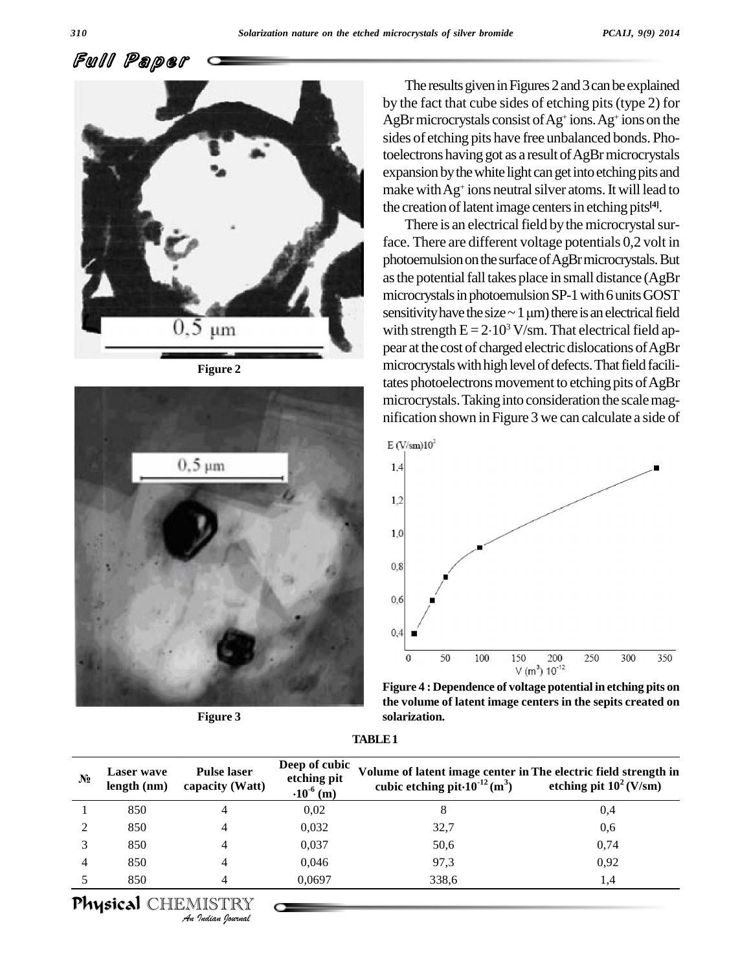Full Paper



**Figure 2**



**Figure 3**

The results given in Figures 2 and 3 can be explained by the fact that cube sides of etching pits(type 2) for AgBr microcrystals consist of Ag<sup>+</sup> ions. Ag<sup>+</sup> ions on the sides of etching pits have free unbalanced bonds. Photoelectrons having got as a result of AgBr microcrystals expansion by the white light can get into etching pits and make withAg + ions neutralsilver atoms.Itwill lead to the creation of latent image centers in etching pits<sup>[4]</sup>.

There is an electrical field by the microcrystal surface. There are different voltage potentials 0,2 volt in photoemulsion on the surface of AgBr microcrystals. But as the potential fall takes place in small distance (AgBr<br>microcrystals in photoemulsion SP-1 with 6 units GOST<br>sensitivity have the size  $\sim 1 \,\mathrm{\mu m}$ ) there is an electrical field microcrystals in photoemulsion SP-1 with 6 units GOST<br>sensitivity have the size  $\sim 1 \,\mu$ m) there is an electrical field<br>with strength E =  $2.10^3$  V/sm. That electrical field apwith strength  $E = 2.10<sup>3</sup> V$ /sm. That electrical field appear at the cost of charged electric dislocations of AgBr microcrystals with high level of defects. That field facilitates photoelectrons movement to etching pits of AgBr microcrystals. Taking into consideration the scale magnification shown in Figure 3 we can calculate a side of



**Figure 4 : Dependence of voltage potential in etching pits on the volume of latent image centers in the sepits created on solarization.**

| <b>TABLE 1</b> |  |
|----------------|--|
|----------------|--|

| $N_2$ | <b>Laser</b> wave<br>length (nm) | <b>Pulse laser</b><br>capacity (Watt) | Deep of cubic<br>etching pit<br>$\cdot 10^{-6}$ (m) | Volume of latent image center in The electric field strength in<br>cubic etching pit $\cdot 10^{-12}$ (m <sup>3</sup> ) | etching pit $10^2$ (V/sm) |
|-------|----------------------------------|---------------------------------------|-----------------------------------------------------|-------------------------------------------------------------------------------------------------------------------------|---------------------------|
|       | 850                              | 4                                     | 0,02                                                | 8                                                                                                                       | 0,4                       |
|       | 850                              | 4                                     | 0,032                                               | 32,7                                                                                                                    | 0,6                       |
|       | 850                              | 4                                     | 0,037                                               | 50,6                                                                                                                    | 0,74                      |
|       | 850                              | 4                                     | 0,046                                               | 97.3                                                                                                                    | 0,92                      |
|       | 850                              | 4                                     | 0.0697                                              | 338,6                                                                                                                   | 1,4                       |